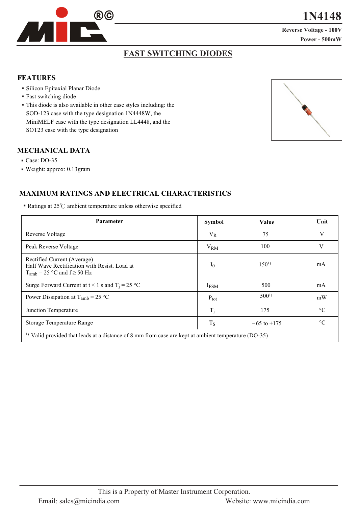

**1**

**Reverse Voltage - 100V**  $Power - 500$ mW

## **FAST SWITCHING DIODES**

#### **FEATURES**

- Silicon Epitaxial Planar Diode
- Fast switching diode
- This diode is also available in other case styles including: the SOD-123 case with the type designation 1N4448W, the MiniMELF case with the type designation LL4448, and the SOT23 case with the type designation

## **MECHANICAL DATA**

- Case: DO-35
- Weight: approx: 0.13gram

## **MAXIMUM RATINGS AND ELECTRICAL CHARACTERISTICS**

Ratings at  $25^{\circ}$ C ambient temperature unless otherwise specified

| <b>Parameter</b>                                                                                                    | <b>Symbol</b>           | Value           | Unit            |  |  |  |
|---------------------------------------------------------------------------------------------------------------------|-------------------------|-----------------|-----------------|--|--|--|
| Reverse Voltage                                                                                                     | $V_{R}$                 | 75              | V               |  |  |  |
| Peak Reverse Voltage                                                                                                | $V_{RM}$                | 100             | V               |  |  |  |
| Rectified Current (Average)<br>Half Wave Rectification with Resist. Load at<br>$T_{amb}$ = 25 °C and f $\geq$ 50 Hz | $I_0$                   | $150^{1}$       | mA              |  |  |  |
| Surge Forward Current at $t < 1$ s and $T_i = 25$ °C                                                                | <b>I</b> <sub>FSM</sub> | 500             | mA              |  |  |  |
| Power Dissipation at $T_{amb} = 25 \degree C$                                                                       | $P_{\text{tot}}$        | $500^{1}$       | mW              |  |  |  |
| Junction Temperature                                                                                                | $T_i$                   | 175             | $\rm ^{\circ}C$ |  |  |  |
| Storage Temperature Range                                                                                           | $T_S$                   | $-65$ to $+175$ | $\rm ^{\circ}C$ |  |  |  |
| <sup>1)</sup> Valid provided that leads at a distance of 8 mm from case are kept at ambient temperature (DO-35)     |                         |                 |                 |  |  |  |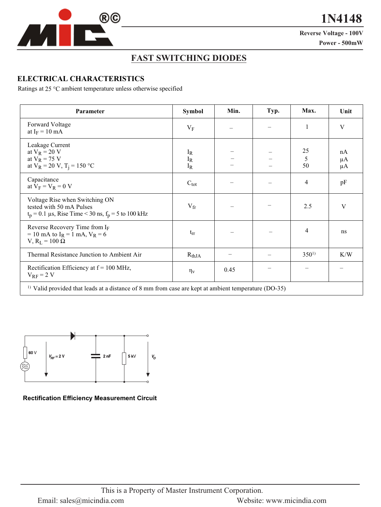

**1**

**Reverse Voltage - 100V Power - 500mW** 

## **FAST SWITCHING DIODES**

#### **ELECTRICAL CHARACTERISTICS**

Ratings at 25 °C ambient temperature unless otherwise specified

| Parameter                                                                                                                                        | Symbol                  | Min. | Typ. | Max.           | Unit                |  |
|--------------------------------------------------------------------------------------------------------------------------------------------------|-------------------------|------|------|----------------|---------------------|--|
| Forward Voltage<br>at $I_F = 10$ mA                                                                                                              | $V_{\rm F}$             |      |      | $\mathbf{1}$   | V                   |  |
| Leakage Current<br>at $V_R = 20 V$<br>at $V_R$ = 75 V<br>at $V_R = 20 V$ , $T_i = 150 °C$                                                        | $I_R$<br>$I_R$<br>$I_R$ |      |      | 25<br>5<br>50  | nA<br>$\mu A$<br>μA |  |
| Capacitance<br>at $V_F = V_R = 0$ V                                                                                                              | $C_{\text{tot}}$        |      |      | $\overline{4}$ | pF                  |  |
| Voltage Rise when Switching ON<br>tested with 50 mA Pulses<br>$t_p = 0.1 \,\mu s$ , Rise Time < 30 ns, $f_p = 5 \,\text{to} \, 100 \,\text{kHz}$ | $V_{\rm fr}$            |      |      | 2.5            | V                   |  |
| Reverse Recovery Time from IF<br>= 10 mA to $I_R$ = 1 mA, $V_R$ = 6<br>$V$ , $R_L = 100 \Omega$                                                  | $t_{rr}$                |      |      | 4              | ns                  |  |
| Thermal Resistance Junction to Ambient Air                                                                                                       | $R_{thJA}$              |      |      | $350^{1}$      | K/W                 |  |
| Rectification Efficiency at $f = 100$ MHz,<br>$V_{RF}$ = 2 V                                                                                     | $\eta_V$                | 0.45 |      |                |                     |  |
| <sup>1)</sup> Valid provided that leads at a distance of 8 mm from case are kept at ambient temperature (DO-35)                                  |                         |      |      |                |                     |  |



**Rectification Efficiency Measurement Circuit**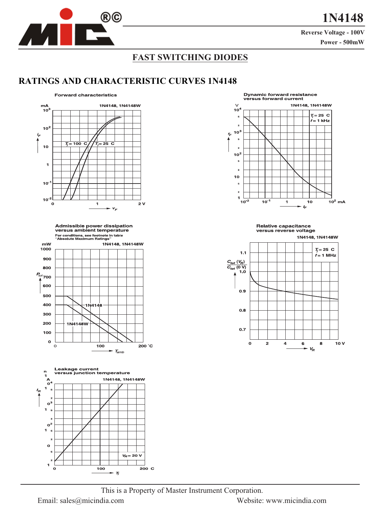

**Reverse Voltage - 100V** 

Power - 500mW

## **FAST SWITCHING DIODES**

## **RATINGS AND CHARACTERISTIC CURVES 1N4148**



Admissible power dissipation<br>versus ambient temperature For conditions, see footnote in table<br>"Absolute Maximum Ratings"







**Relative capacitance** versus reverse voltage



This is a Property of Master Instrument Corporation.

Email: sales@micindia.com

Website: www.micindia.com